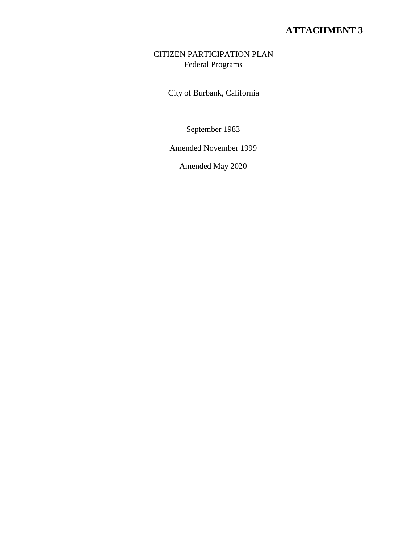### CITIZEN PARTICIPATION PLAN Federal Programs

City of Burbank, California

September 1983

Amended November 1999

Amended May 2020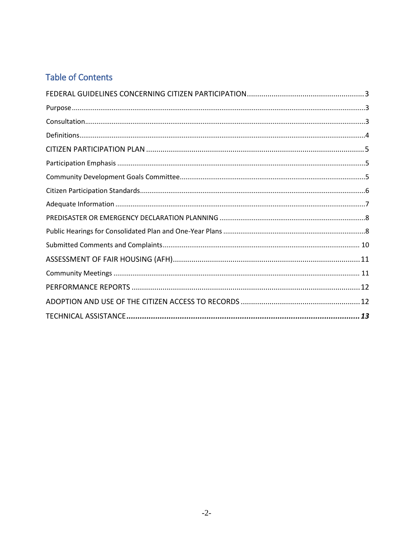# **Table of Contents**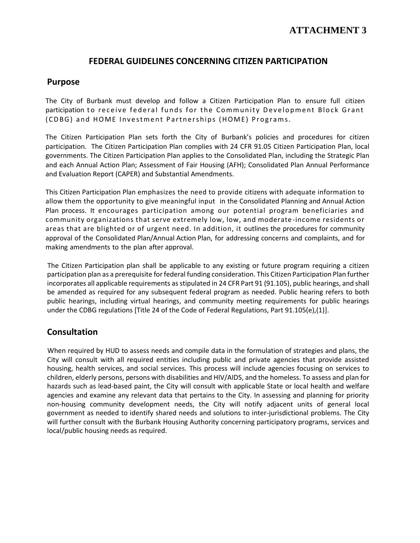### **FEDERAL GUIDELINES CONCERNING CITIZEN PARTICIPATION**

### <span id="page-2-0"></span>**Purpose**

The City of Burbank must develop and follow a Citizen Participation Plan to ensure full citizen participation to receive federal funds for the Community Development Block Grant ( CDBG) and HOME Investment Partnerships (HOME) Programs.

The Citizen Participation Plan sets forth the City of Burbank's policies and procedures for citizen participation. The Citizen Participation Plan complies with 24 CFR 91.05 Citizen Participation Plan, local governments. The Citizen Participation Plan applies to the Consolidated Plan, including the Strategic Plan and each Annual Action Plan; Assessment of Fair Housing (AFH); Consolidated Plan Annual Performance and Evaluation Report (CAPER) and Substantial Amendments.

This Citizen Participation Plan emphasizes the need to provide citizens with adequate information to allow them the opportunity to give meaningful input in the Consolidated Planning and Annual Action Plan process. It encourages participation among our potential program beneficiaries and community organizations that serve extremely low, low, and moderate -income residents or areas that are blighted or of urgent need. In addition, it outlines the procedures for community approval of the Consolidated Plan/Annual Action Plan, for addressing concerns and complaints, and for making amendments to the plan after approval.

The Citizen Participation plan shall be applicable to any existing or future program requiring a citizen participation plan as a prerequisite for federal funding consideration. This Citizen Participation Plan further incorporates all applicable requirements as stipulated in 24 CFR Part 91 (91.105), public hearings, and shall be amended as required for any subsequent federal program as needed. Public hearing refers to both public hearings, including virtual hearings, and community meeting requirements for public hearings under the CDBG regulations [Title 24 of the Code of Federal Regulations, Part 91.105(e),(1)].

### **Consultation**

When required by HUD to assess needs and compile data in the formulation of strategies and plans, the City will consult with all required entities including public and private agencies that provide assisted housing, health services, and social services. This process will include agencies focusing on services to children, elderly persons, persons with disabilities and HIV/AIDS, and the homeless. To assess and plan for hazards such as lead-based paint, the City will consult with applicable State or local health and welfare agencies and examine any relevant data that pertains to the City. In assessing and planning for priority non-housing community development needs, the City will notify adjacent units of general local government as needed to identify shared needs and solutions to inter-jurisdictional problems. The City will further consult with the Burbank Housing Authority concerning participatory programs, services and local/public housing needs as required.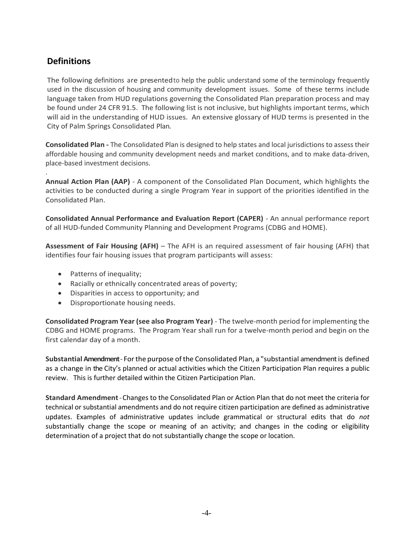## **Definitions**

The following definitions are presented to help the public understand some of the terminology frequently used in the discussion of housing and community development issues. Some of these terms include language taken from HUD regulations governing the Consolidated Plan preparation process and may be found under 24 CFR 91.5. The following list is not inclusive, but highlights important terms, which will aid in the understanding of HUD issues. An extensive glossary of HUD terms is presented in the City of Palm Springs Consolidated Plan*.*

**Consolidated Plan -** The Consolidated Plan is designed to help states and local jurisdictions to assess their affordable housing and community development needs and market conditions, and to make data-driven, place-based investment decisions.

. **Annual Action Plan (AAP)** - A component of the Consolidated Plan Document, which highlights the activities to be conducted during a single Program Year in support of the priorities identified in the Consolidated Plan.

**Consolidated Annual Performance and Evaluation Report (CAPER)** - An annual performance report of all HUD-funded Community Planning and Development Programs (CDBG and HOME).

**Assessment of Fair Housing (AFH)** – The AFH is an required assessment of fair housing (AFH) that identifies four fair housing issues that program participants will assess:

- Patterns of inequality;
- Racially or ethnically concentrated areas of poverty;
- Disparities in access to opportunity; and
- Disproportionate housing needs.

**Consolidated Program Year (see also Program Year)** - The twelve-month period for implementing the CDBG and HOME programs. The Program Year shall run for a twelve-month period and begin on the first calendar day of a month.

**Substantial Amendment**- Forthe purpose ofthe Consolidated Plan, a "substantial amendment is defined as a change in the City's planned or actual activities which the Citizen Participation Plan requires a public review. This is further detailed within the Citizen Participation Plan.

**Standard Amendment**-Changes to the Consolidated Plan or Action Plan that do not meet the criteria for technical or substantial amendments and do not require citizen participation are defined as administrative updates. Examples of administrative updates include grammatical or structural edits that do *not*  substantially change the scope or meaning of an activity; and changes in the coding or eligibility determination of a project that do not substantially change the scope or location.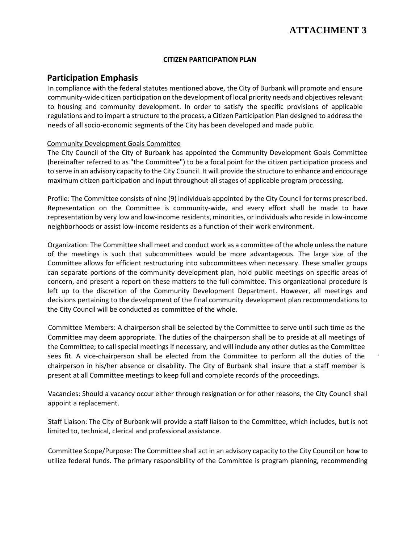#### **CITIZEN PARTICIPATION PLAN**

### <span id="page-4-0"></span>**Participation Emphasis**

In compliance with the federal statutes mentioned above, the City of Burbank will promote and ensure community-wide citizen participation on the development of local priority needs and objectives relevant to housing and community development. In order to satisfy the specific provisions of applicable regulations and to impart a structure to the process, a Citizen Participation Plan designed to address the needs of all socio-economic segments of the City has been developed and made public.

#### Community Development Goals Committee

The City Council of the City of Burbank has appointed the Community Development Goals Committee (hereinafter referred to as "the Committee") to be a focal point for the citizen participation process and to serve in an advisory capacity to the City Council. It will provide the structure to enhance and encourage maximum citizen participation and input throughout all stages of applicable program processing.

Profile: The Committee consists of nine (9) individuals appointed by the City Council for terms prescribed. Representation on the Committee is community-wide, and every effort shall be made to have representation by very low and low-income residents, minorities, or individuals who reside in low-income neighborhoods or assist low-income residents as a function of their work environment.

Organization: The Committee shall meet and conduct work as a committee of the whole unless the nature of the meetings is such that subcommittees would be more advantageous. The large size of the Committee allows for efficient restructuring into subcommittees when necessary. These smaller groups can separate portions of the community development plan, hold public meetings on specific areas of concern, and present a report on these matters to the full committee. This organizational procedure is left up to the discretion of the Community Development Department. However, all meetings and decisions pertaining to the development of the final community development plan recommendations to the City Council will be conducted as committee of the whole.

Committee Members: A chairperson shall be selected by the Committee to serve until such time as the Committee may deem appropriate. The duties of the chairperson shall be to preside at all meetings of the Committee; to call special meetings if necessary, and will include any other duties as the Committee sees fit. A vice-chairperson shall be elected from the Committee to perform all the duties of the chairperson in his/her absence or disability. The City of Burbank shall insure that a staff member is present at all Committee meetings to keep full and complete records of the proceedings.

Vacancies: Should a vacancy occur either through resignation or for other reasons, the City Council shall appoint a replacement.

Staff Liaison: The City of Burbank will provide a staff liaison to the Committee, which includes, but is not limited to, technical, clerical and professional assistance.

Committee Scope/Purpose: The Committee shall act in an advisory capacity to the City Council on how to utilize federal funds. The primary responsibility of the Committee is program planning, recommending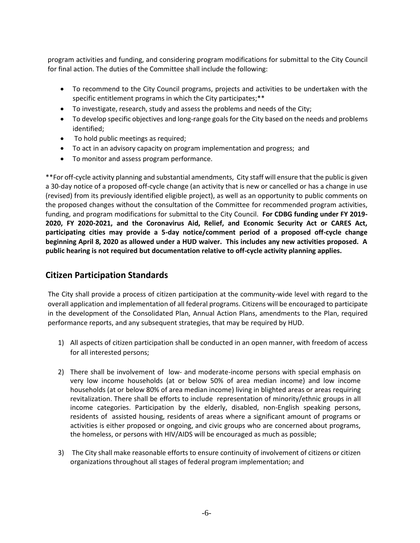program activities and funding, and considering program modifications for submittal to the City Council for final action. The duties of the Committee shall include the following:

- To recommend to the City Council programs, projects and activities to be undertaken with the specific entitlement programs in which the City participates;\*\*
- To investigate, research, study and assess the problems and needs of the City;
- To develop specific objectives and long-range goals for the City based on the needs and problems identified;
- To hold public meetings as required;
- To act in an advisory capacity on program implementation and progress; and
- To monitor and assess program performance.

\*\*For off-cycle activity planning and substantial amendments, City staff will ensure that the public is given a 30-day notice of a proposed off-cycle change (an activity that is new or cancelled or has a change in use (revised) from its previously identified eligible project), as well as an opportunity to public comments on the proposed changes without the consultation of the Committee for recommended program activities, funding, and program modifications for submittal to the City Council. **For CDBG funding under FY 2019- 2020, FY 2020-2021, and the Coronavirus Aid, Relief, and Economic Security Act or CARES Act, participating cities may provide a 5-day notice/comment period of a proposed off-cycle change beginning April 8, 2020 as allowed under a HUD waiver. This includes any new activities proposed. A public hearing is not required but documentation relative to off-cycle activity planning applies.**

### **Citizen Participation Standards**

The City shall provide a process of citizen participation at the community-wide level with regard to the overall application and implementation of all federal programs. Citizens will be encouraged to participate in the development of the Consolidated Plan, Annual Action Plans, amendments to the Plan, required performance reports, and any subsequent strategies, that may be required by HUD.

- 1) All aspects of citizen participation shall be conducted in an open manner, with freedom of access for all interested persons;
- 2) There shall be involvement of low- and moderate-income persons with special emphasis on very low income households (at or below 50% of area median income) and low income households (at or below 80% of area median income) living in blighted areas or areas requiring revitalization. There shall be efforts to include representation of minority/ethnic groups in all income categories. Participation by the elderly, disabled, non-English speaking persons, residents of assisted housing, residents of areas where a significant amount of programs or activities is either proposed or ongoing, and civic groups who are concerned about programs, the homeless, or persons with HIV/AIDS will be encouraged as much as possible;
- 3) The City shall make reasonable efforts to ensure continuity of involvement of citizens or citizen organizations throughout all stages of federal program implementation; and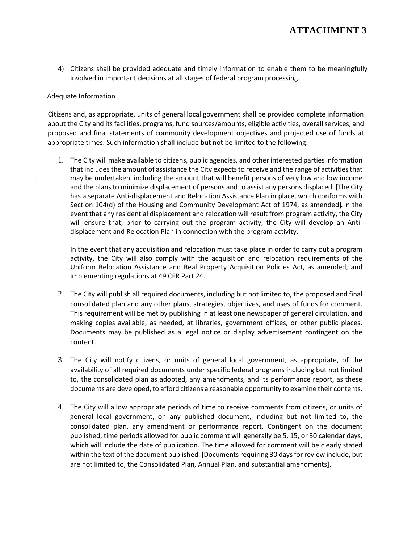4) Citizens shall be provided adequate and timely information to enable them to be meaningfully involved in important decisions at all stages of federal program processing.

#### Adequate Information

Citizens and, as appropriate, units of general local government shall be provided complete information about the City and its facilities, programs, fund sources/amounts, eligible activities, overall services, and proposed and final statements of community development objectives and projected use of funds at appropriate times. Such information shall include but not be limited to the following:

1. The City will make available to citizens, public agencies, and other interested parties information that includes the amount of assistance the City expects to receive and the range of activities that may be undertaken, including the amount that will benefit persons of very low and low income and the plans to minimize displacement of persons and to assist any persons displaced. [The City has a separate Anti-displacement and Relocation Assistance Plan in place, which conforms with Section 104(d) of the Housing and Community Development Act of 1974, as amended]. In the event that any residential displacement and relocation will result from program activity, the City will ensure that, prior to carrying out the program activity, the City will develop an Antidisplacement and Relocation Plan in connection with the program activity.

In the event that any acquisition and relocation must take place in order to carry out a program activity, the City will also comply with the acquisition and relocation requirements of the Uniform Relocation Assistance and Real Property Acquisition Policies Act, as amended, and implementing regulations at 49 CFR Part 24.

- 2. The City will publish all required documents, including but not limited to, the proposed and final consolidated plan and any other plans, strategies, objectives, and uses of funds for comment. This requirement will be met by publishing in at least one newspaper of general circulation, and making copies available, as needed, at libraries, government offices, or other public places. Documents may be published as a legal notice or display advertisement contingent on the content.
- 3. The City will notify citizens, or units of general local government, as appropriate, of the availability of all required documents under specific federal programs including but not limited to, the consolidated plan as adopted, any amendments, and its performance report, as these documents are developed, to afford citizens a reasonable opportunity to examine their contents.
- 4. The City will allow appropriate periods of time to receive comments from citizens, or units of general local government, on any published document, including but not limited to, the consolidated plan, any amendment or performance report. Contingent on the document published, time periods allowed for public comment will generally be 5, 15, or 30 calendar days, which will include the date of publication. The time allowed for comment will be clearly stated within the text of the document published. [Documents requiring 30 days for review include, but are not limited to, the Consolidated Plan, Annual Plan, and substantial amendments].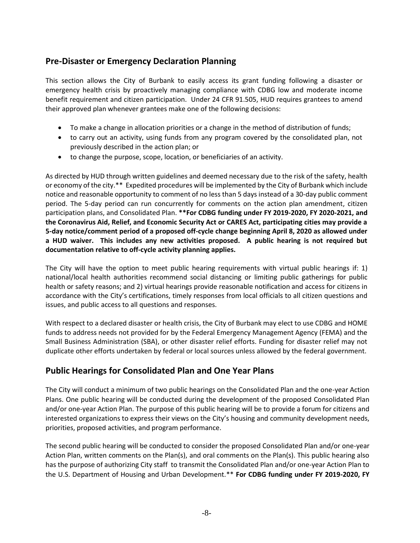## **Pre-Disaster or Emergency Declaration Planning**

This section allows the City of Burbank to easily access its grant funding following a disaster or emergency health crisis by proactively managing compliance with CDBG low and moderate income benefit requirement and citizen participation. Under 24 CFR 91.505, HUD requires grantees to amend their approved plan whenever grantees make one of the following decisions:

- To make a change in allocation priorities or a change in the method of distribution of funds;
- to carry out an activity, using funds from any program covered by the consolidated plan, not previously described in the action plan; or
- to change the purpose, scope, location, or beneficiaries of an activity.

As directed by HUD through written guidelines and deemed necessary due to the risk of the safety, health or economy of the city.\*\* Expedited procedures will be implemented by the City of Burbank which include notice and reasonable opportunity to comment of no less than 5 days instead of a 30-day public comment period. The 5-day period can run concurrently for comments on the action plan amendment, citizen participation plans, and Consolidated Plan. **\*\*For CDBG funding under FY 2019-2020, FY 2020-2021, and the Coronavirus Aid, Relief, and Economic Security Act or CARES Act, participating cities may provide a 5-day notice/comment period of a proposed off-cycle change beginning April 8, 2020 as allowed under a HUD waiver. This includes any new activities proposed. A public hearing is not required but documentation relative to off-cycle activity planning applies.**

The City will have the option to meet public hearing requirements with virtual public hearings if: 1) national/local health authorities recommend social distancing or limiting public gatherings for public health or safety reasons; and 2) virtual hearings provide reasonable notification and access for citizens in accordance with the City's certifications, timely responses from local officials to all citizen questions and issues, and public access to all questions and responses.

With respect to a declared disaster or health crisis, the City of Burbank may elect to use CDBG and HOME funds to address needs not provided for by the Federal Emergency Management Agency (FEMA) and the Small Business Administration (SBA), or other disaster relief efforts. Funding for disaster relief may not duplicate other efforts undertaken by federal or local sources unless allowed by the federal government.

### **Public Hearings for Consolidated Plan and One Year Plans**

The City will conduct a minimum of two public hearings on the Consolidated Plan and the one-year Action Plans. One public hearing will be conducted during the development of the proposed Consolidated Plan and/or one-year Action Plan. The purpose of this public hearing will be to provide a forum for citizens and interested organizations to express their views on the City's housing and community development needs, priorities, proposed activities, and program performance.

The second public hearing will be conducted to consider the proposed Consolidated Plan and/or one-year Action Plan, written comments on the Plan(s), and oral comments on the Plan(s). This public hearing also has the purpose of authorizing City staff to transmit the Consolidated Plan and/or one-year Action Plan to the U.S. Department of Housing and Urban Development.\*\* **For CDBG funding under FY 2019-2020, FY**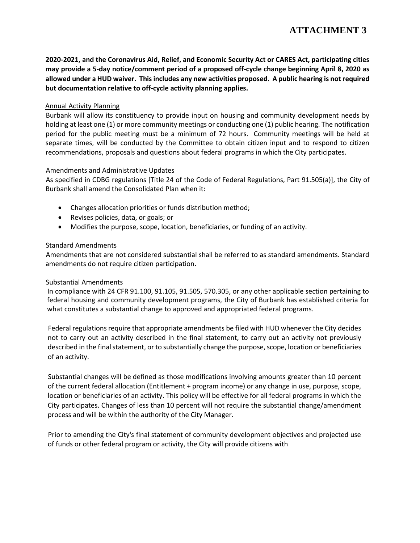**2020-2021, and the Coronavirus Aid, Relief, and Economic Security Act or CARES Act, participating cities may provide a 5-day notice/comment period of a proposed off-cycle change beginning April 8, 2020 as allowed under a HUD waiver. This includes any new activities proposed. A public hearing is not required but documentation relative to off-cycle activity planning applies.**

#### Annual Activity Planning

Burbank will allow its constituency to provide input on housing and community development needs by holding at least one (1) or more community meetings or conducting one (1) public hearing. The notification period for the public meeting must be a minimum of 72 hours. Community meetings will be held at separate times, will be conducted by the Committee to obtain citizen input and to respond to citizen recommendations, proposals and questions about federal programs in which the City participates.

#### Amendments and Administrative Updates

As specified in CDBG regulations [Title 24 of the Code of Federal Regulations, Part 91.505(a)], the City of Burbank shall amend the Consolidated Plan when it:

- Changes allocation priorities or funds distribution method;
- Revises policies, data, or goals; or
- Modifies the purpose, scope, location, beneficiaries, or funding of an activity.

#### Standard Amendments

Amendments that are not considered substantial shall be referred to as standard amendments. Standard amendments do not require citizen participation.

#### Substantial Amendments

In compliance with 24 CFR 91.100, 91.105, 91.505, 570.305, or any other applicable section pertaining to federal housing and community development programs, the City of Burbank has established criteria for what constitutes a substantial change to approved and appropriated federal programs.

Federal regulations require that appropriate amendments be filed with HUD whenever the City decides not to carry out an activity described in the final statement, to carry out an activity not previously described in the final statement, or to substantially change the purpose, scope, location or beneficiaries of an activity.

Substantial changes will be defined as those modifications involving amounts greater than 10 percent of the current federal allocation (Entitlement + program income) or any change in use, purpose, scope, location or beneficiaries of an activity. This policy will be effective for all federal programs in which the City participates. Changes of less than 10 percent will not require the substantial change/amendment process and will be within the authority of the City Manager.

Prior to amending the City's final statement of community development objectives and projected use of funds or other federal program or activity, the City will provide citizens with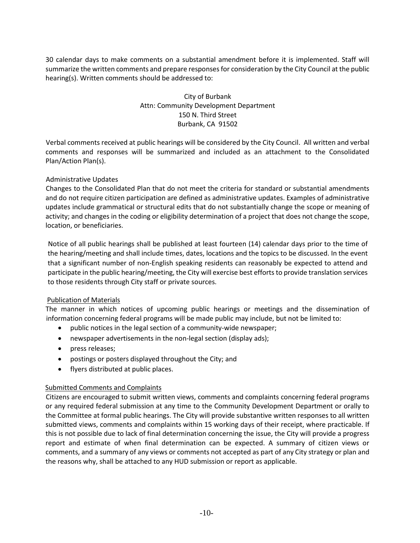30 calendar days to make comments on a substantial amendment before it is implemented. Staff will summarize the written comments and prepare responses for consideration by the City Council at the public hearing(s). Written comments should be addressed to:

### City of Burbank Attn: Community Development Department 150 N. Third Street Burbank, CA 91502

Verbal comments received at public hearings will be considered by the City Council. All written and verbal comments and responses will be summarized and included as an attachment to the Consolidated Plan/Action Plan(s).

#### Administrative Updates

Changes to the Consolidated Plan that do not meet the criteria for standard or substantial amendments and do not require citizen participation are defined as administrative updates. Examples of administrative updates include grammatical or structural edits that do not substantially change the scope or meaning of activity; and changes in the coding or eligibility determination of a project that does not change the scope, location, or beneficiaries.

Notice of all public hearings shall be published at least fourteen (14) calendar days prior to the time of the hearing/meeting and shall include times, dates, locations and the topics to be discussed. In the event that a significant number of non-English speaking residents can reasonably be expected to attend and participate in the public hearing/meeting, the City will exercise best efforts to provide translation services to those residents through City staff or private sources.

#### Publication of Materials

The manner in which notices of upcoming public hearings or meetings and the dissemination of information concerning federal programs will be made public may include, but not be limited to:

- public notices in the legal section of a community-wide newspaper;
- newspaper advertisements in the non-legal section (display ads);
- press releases;
- postings or posters displayed throughout the City; and
- flyers distributed at public places.

#### Submitted Comments and Complaints

Citizens are encouraged to submit written views, comments and complaints concerning federal programs or any required federal submission at any time to the Community Development Department or orally to the Committee at formal public hearings. The City will provide substantive written responses to all written submitted views, comments and complaints within 15 working days of their receipt, where practicable. If this is not possible due to lack of final determination concerning the issue, the City will provide a progress report and estimate of when final determination can be expected. A summary of citizen views or comments, and a summary of any views or comments not accepted as part of any City strategy or plan and the reasons why, shall be attached to any HUD submission or report as applicable.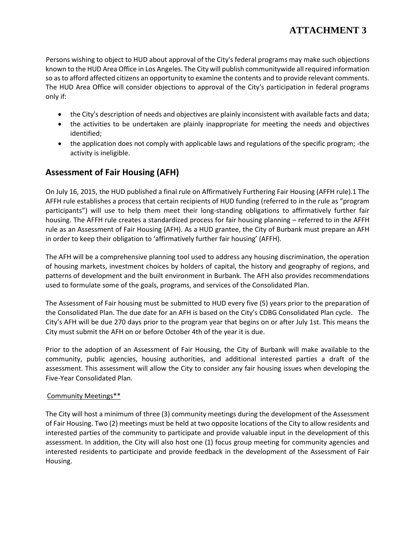Persons wishing to object to HUD about approval of the City's federal programs may make such objections known to the HUD Area Office in Los Angeles. The City will publish communitywide all required information so as to afford affected citizens an opportunity to examine the contents and to provide relevant comments. The HUD Area Office will consider objections to approval of the City's participation in federal programs only if:

- the City's description of needs and objectives are plainly inconsistent with available facts and data;
- the activities to be undertaken are plainly inappropriate for meeting the needs and objectives identified;
- the application does not comply with applicable laws and regulations of the specific program; -the activity is ineligible.

## **Assessment of Fair Housing (AFH)**

On July 16, 2015, the HUD published a final rule on Affirmatively Furthering Fair Housing (AFFH rule).1 The AFFH rule establishes a process that certain recipients of HUD funding (referred to in the rule as "program participants") will use to help them meet their long-standing obligations to affirmatively further fair housing. The AFFH rule creates a standardized process for fair housing planning – referred to in the AFFH rule as an Assessment of Fair Housing (AFH). As a HUD grantee, the City of Burbank must prepare an AFH in order to keep their obligation to 'affirmatively further fair housing' (AFFH).

The AFH will be a comprehensive planning tool used to address any housing discrimination, the operation of housing markets, investment choices by holders of capital, the history and geography of regions, and patterns of development and the built environment in Burbank. The AFH also provides recommendations used to formulate some of the goals, programs, and services of the Consolidated Plan.

The Assessment of Fair housing must be submitted to HUD every five (5) years prior to the preparation of the Consolidated Plan. The due date for an AFH is based on the City's CDBG Consolidated Plan cycle. The City's AFH will be due 270 days prior to the program year that begins on or after July 1st. This means the City must submit the AFH on or before October 4th of the year it is due.

Prior to the adoption of an Assessment of Fair Housing, the City of Burbank will make available to the community, public agencies, housing authorities, and additional interested parties a draft of the assessment. This assessment will allow the City to consider any fair housing issues when developing the Five-Year Consolidated Plan.

#### <span id="page-10-0"></span>Community Meetings\*\*

The City will host a minimum of three (3) community meetings during the development of the Assessment of Fair Housing. Two (2) meetings must be held at two opposite locations of the City to allow residents and interested parties of the community to participate and provide valuable input in the development of this assessment. In addition, the City will also host one (1) focus group meeting for community agencies and interested residents to participate and provide feedback in the development of the Assessment of Fair Housing.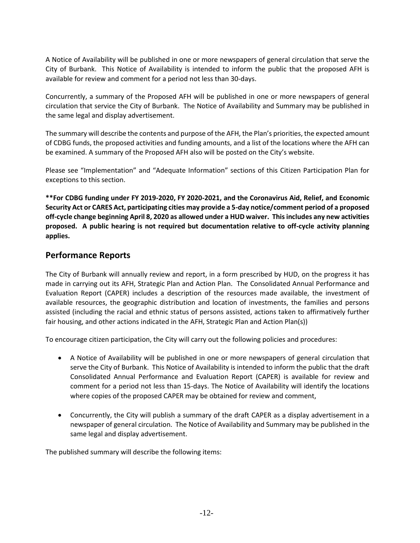A Notice of Availability will be published in one or more newspapers of general circulation that serve the City of Burbank. This Notice of Availability is intended to inform the public that the proposed AFH is available for review and comment for a period not less than 30-days.

Concurrently, a summary of the Proposed AFH will be published in one or more newspapers of general circulation that service the City of Burbank. The Notice of Availability and Summary may be published in the same legal and display advertisement.

The summary will describe the contents and purpose of the AFH, the Plan's priorities, the expected amount of CDBG funds, the proposed activities and funding amounts, and a list of the locations where the AFH can be examined. A summary of the Proposed AFH also will be posted on the City's website.

Please see "Implementation" and "Adequate Information" sections of this Citizen Participation Plan for exceptions to this section.

**\*\*For CDBG funding under FY 2019-2020, FY 2020-2021, and the Coronavirus Aid, Relief, and Economic Security Act or CARES Act, participating cities may provide a 5-day notice/comment period of a proposed off-cycle change beginning April 8, 2020 as allowed under a HUD waiver. This includes any new activities proposed. A public hearing is not required but documentation relative to off-cycle activity planning applies.**

### **Performance Reports**

The City of Burbank will annually review and report, in a form prescribed by HUD, on the progress it has made in carrying out its AFH, Strategic Plan and Action Plan. The Consolidated Annual Performance and Evaluation Report (CAPER) includes a description of the resources made available, the investment of available resources, the geographic distribution and location of investments, the families and persons assisted (including the racial and ethnic status of persons assisted, actions taken to affirmatively further fair housing, and other actions indicated in the AFH, Strategic Plan and Action Plan(s))

To encourage citizen participation, the City will carry out the following policies and procedures:

- A Notice of Availability will be published in one or more newspapers of general circulation that serve the City of Burbank. This Notice of Availability is intended to inform the public that the draft Consolidated Annual Performance and Evaluation Report (CAPER) is available for review and comment for a period not less than 15-days. The Notice of Availability will identify the locations where copies of the proposed CAPER may be obtained for review and comment,
- Concurrently, the City will publish a summary of the draft CAPER as a display advertisement in a newspaper of general circulation. The Notice of Availability and Summary may be published in the same legal and display advertisement.

The published summary will describe the following items: